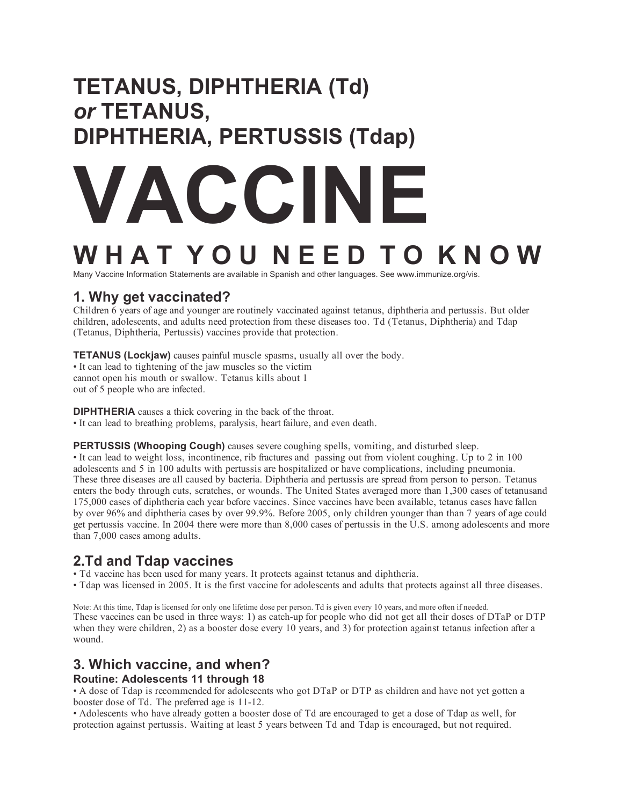## **TETANUS, DIPHTHERIA (Td)** *or* **TETANUS, DIPHTHERIA, PERTUSSIS (Tdap)**

# **VACCINE W H A T Y O U N E E D T O K N O W**

Many Vaccine Information Statements are available in Spanish and other languages. See www.immunize.org/vis.

## **1. Why get vaccinated?**

Children 6 years of age and younger are routinely vaccinated against tetanus, diphtheria and pertussis. But older children, adolescents, and adults need protection from these diseases too. Td (Tetanus, Diphtheria) and Tdap (Tetanus, Diphtheria, Pertussis) vaccines provide that protection.

**TETANUS (Lockjaw)** causes painful muscle spasms, usually all over the body. • It can lead to tightening of the jaw muscles so the victim cannot open his mouth or swallow. Tetanus kills about 1 out of 5 people who are infected.

**DIPHTHERIA** causes a thick covering in the back of the throat.

• It can lead to breathing problems, paralysis, heart failure, and even death.

**PERTUSSIS (Whooping Cough)** causes severe coughing spells, vomiting, and disturbed sleep. • It can lead to weight loss, incontinence, rib fractures and passing out from violent coughing. Up to 2 in 100 adolescents and 5 in 100 adults with pertussis are hospitalized or have complications, including pneumonia. These three diseases are all caused by bacteria. Diphtheria and pertussis are spread from person to person. Tetanus enters the body through cuts, scratches, or wounds. The United States averaged more than 1,300 cases of tetanusand 175,000 cases of diphtheria each year before vaccines. Since vaccines have been available, tetanus cases have fallen by over 96% and diphtheria cases by over 99.9%. Before 2005, only children younger than than 7 years of age could get pertussis vaccine. In 2004 there were more than 8,000 cases of pertussis in the U.S. among adolescents and more than 7,000 cases among adults.

## **2.Td and Tdap vaccines**

- Td vaccine has been used for many years. It protects against tetanus and diphtheria.
- Tdap was licensed in 2005. It is the first vaccine for adolescents and adults that protects against all three diseases.

Note: At this time, Tdap is licensed for only one lifetime dose per person. Td is given every 10 years, and more often if needed. These vaccines can be used in three ways: 1) as catch-up for people who did not get all their doses of DTaP or DTP when they were children, 2) as a booster dose every 10 years, and 3) for protection against tetanus infection after a wound.

## **3. Which vaccine, and when?**

#### **Routine: Adolescents 11 through 18**

• A dose of Tdap is recommended for adolescents who got DTaP or DTP as children and have not yet gotten a booster dose of Td. The preferred age is 11-12.

• Adolescents who have already gotten a booster dose of Td are encouraged to get a dose of Tdap as well, for protection against pertussis. Waiting at least 5 years between Td and Tdap is encouraged, but not required.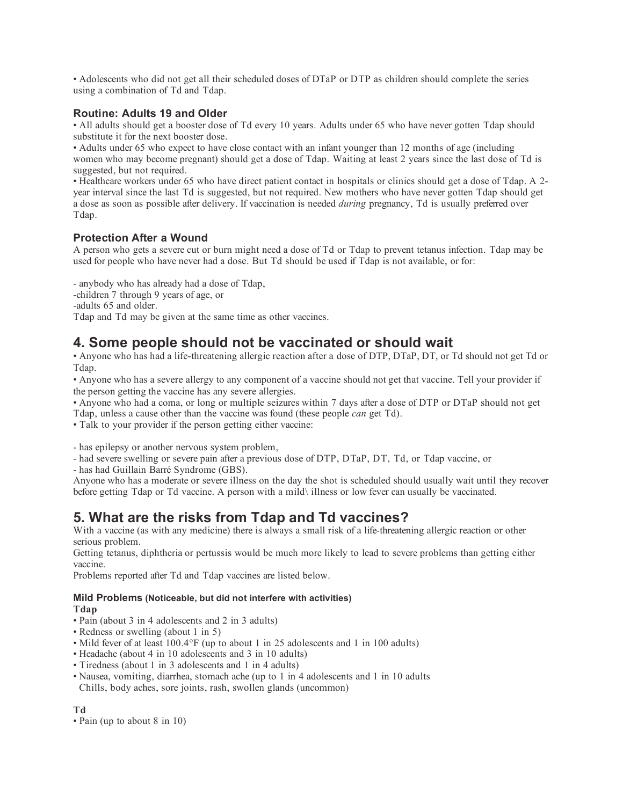• Adolescents who did not get all their scheduled doses of DTaP or DTP as children should complete the series using a combination of Td and Tdap.

#### **Routine: Adults 19 and Older**

• All adults should get a booster dose of Td every 10 years. Adults under 65 who have never gotten Tdap should substitute it for the next booster dose.

• Adults under 65 who expect to have close contact with an infant younger than 12 months of age (including women who may become pregnant) should get a dose of Tdap. Waiting at least 2 years since the last dose of Td is suggested, but not required.

• Healthcare workers under 65 who have direct patient contact in hospitals or clinics should get a dose of Tdap. A 2 year interval since the last Td is suggested, but not required. New mothers who have never gotten Tdap should get a dose as soon as possible after delivery. If vaccination is needed *during* pregnancy, Td is usually preferred over Tdap.

#### **Protection After a Wound**

A person who gets a severe cut or burn might need a dose of Td or Tdap to prevent tetanus infection. Tdap may be used for people who have never had a dose. But Td should be used if Tdap is not available, or for:

- anybody who has already had a dose of Tdap,

-children 7 through 9 years of age, or

-adults 65 and older.

Tdap and Td may be given at the same time as other vaccines.

## **4. Some people should not be vaccinated or should wait**

• Anyone who has had a life-threatening allergic reaction after a dose of DTP, DTaP, DT, or Td should not get Td or Tdap.

• Anyone who has a severe allergy to any component of a vaccine should not get that vaccine. Tell your provider if the person getting the vaccine has any severe allergies.

• Anyone who had a coma, or long or multiple seizures within 7 days after a dose of DTP or DTaP should not get Tdap, unless a cause other than the vaccine was found (these people *can* get Td).

• Talk to your provider if the person getting either vaccine:

- has epilepsy or another nervous system problem,

- had severe swelling or severe pain after a previous dose of DTP, DTaP, DT, Td, or Tdap vaccine, or

- has had Guillain Barré Syndrome (GBS).

Anyone who has a moderate or severe illness on the day the shot is scheduled should usually wait until they recover before getting Tdap or Td vaccine. A person with a mild\ illness or low fever can usually be vaccinated.

### **5. What are the risks from Tdap and Td vaccines?**

With a vaccine (as with any medicine) there is always a small risk of a life-threatening allergic reaction or other serious problem.

Getting tetanus, diphtheria or pertussis would be much more likely to lead to severe problems than getting either vaccine.

Problems reported after Td and Tdap vaccines are listed below.

#### **Mild Problems (Noticeable, but did not interfere with activities) Tdap**

- Pain (about 3 in 4 adolescents and 2 in 3 adults)
- Redness or swelling (about 1 in 5)
- Mild fever of at least 100.4°F (up to about 1 in 25 adolescents and 1 in 100 adults)
- Headache (about 4 in 10 adolescents and 3 in 10 adults)
- Tiredness (about 1 in 3 adolescents and 1 in 4 adults)
- Nausea, vomiting, diarrhea, stomach ache (up to 1 in 4 adolescents and 1 in 10 adults Chills, body aches, sore joints, rash, swollen glands (uncommon)

#### **Td**

• Pain (up to about 8 in 10)